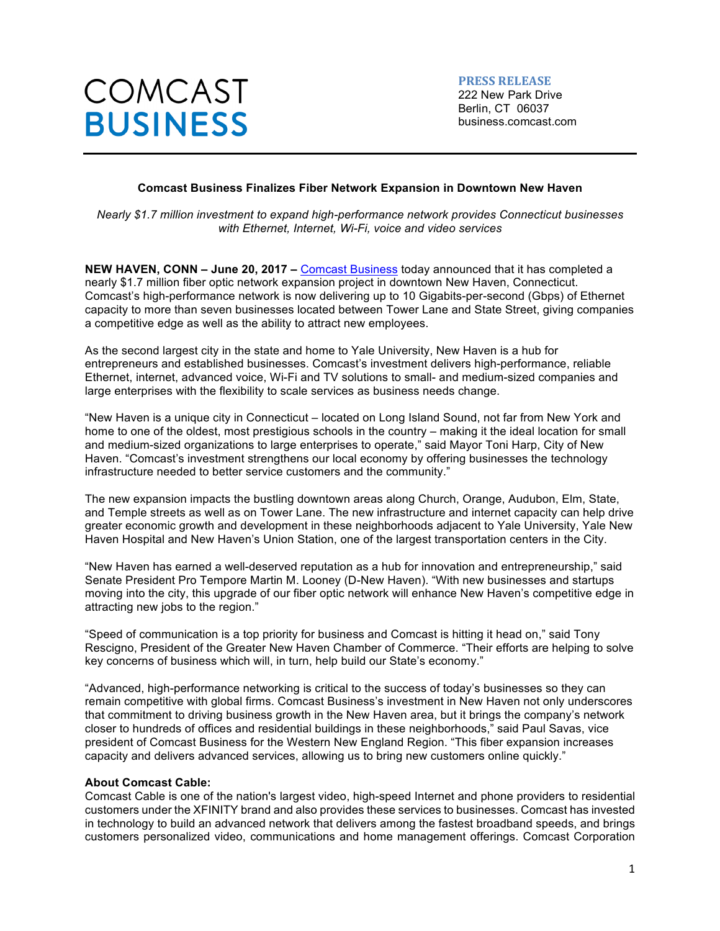**PRESS RELEASE** 222 New Park Drive Berlin, CT 06037 business.comcast.com

# **Comcast Business Finalizes Fiber Network Expansion in Downtown New Haven**

*Nearly \$1.7 million investment to expand high-performance network provides Connecticut businesses with Ethernet, Internet, Wi-Fi, voice and video services*

**NEW HAVEN, CONN – June 20, 2017 –** Comcast Business today announced that it has completed a nearly \$1.7 million fiber optic network expansion project in downtown New Haven, Connecticut. Comcast's high-performance network is now delivering up to 10 Gigabits-per-second (Gbps) of Ethernet capacity to more than seven businesses located between Tower Lane and State Street, giving companies a competitive edge as well as the ability to attract new employees.

As the second largest city in the state and home to Yale University, New Haven is a hub for entrepreneurs and established businesses. Comcast's investment delivers high-performance, reliable Ethernet, internet, advanced voice, Wi-Fi and TV solutions to small- and medium-sized companies and large enterprises with the flexibility to scale services as business needs change.

"New Haven is a unique city in Connecticut – located on Long Island Sound, not far from New York and home to one of the oldest, most prestigious schools in the country – making it the ideal location for small and medium-sized organizations to large enterprises to operate," said Mayor Toni Harp, City of New Haven. "Comcast's investment strengthens our local economy by offering businesses the technology infrastructure needed to better service customers and the community."

The new expansion impacts the bustling downtown areas along Church, Orange, Audubon, Elm, State, and Temple streets as well as on Tower Lane. The new infrastructure and internet capacity can help drive greater economic growth and development in these neighborhoods adjacent to Yale University, Yale New Haven Hospital and New Haven's Union Station, one of the largest transportation centers in the City.

"New Haven has earned a well-deserved reputation as a hub for innovation and entrepreneurship," said Senate President Pro Tempore Martin M. Looney (D-New Haven). "With new businesses and startups moving into the city, this upgrade of our fiber optic network will enhance New Haven's competitive edge in attracting new jobs to the region."

"Speed of communication is a top priority for business and Comcast is hitting it head on," said Tony Rescigno, President of the Greater New Haven Chamber of Commerce. "Their efforts are helping to solve key concerns of business which will, in turn, help build our State's economy."

"Advanced, high-performance networking is critical to the success of today's businesses so they can remain competitive with global firms. Comcast Business's investment in New Haven not only underscores that commitment to driving business growth in the New Haven area, but it brings the company's network closer to hundreds of offices and residential buildings in these neighborhoods," said Paul Savas, vice president of Comcast Business for the Western New England Region. "This fiber expansion increases capacity and delivers advanced services, allowing us to bring new customers online quickly."

### **About Comcast Cable:**

Comcast Cable is one of the nation's largest video, high-speed Internet and phone providers to residential customers under the XFINITY brand and also provides these services to businesses. Comcast has invested in technology to build an advanced network that delivers among the fastest broadband speeds, and brings customers personalized video, communications and home management offerings. Comcast Corporation